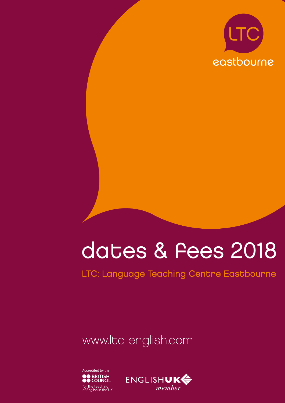

# dates & Fees 2018

LTC: Language Teaching Centre Eastbourne

www.ltc-english.com



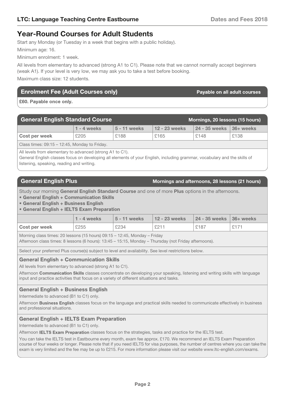### **Year-Round Courses for Adult Students**

Start any Monday (or Tuesday in a week that begins with a public holiday).

Minimum age: 16.

Minimum enrolment: 1 week.

All levels from elementary to advanced (strong A1 to C1). Please note that we cannot normally accept beginners (weak A1). If your level is very low, we may ask you to take a test before booking.

Maximum class size: 12 students.

### **Enrolment Fee (Adult Courses only)**

Payable on all adult courses

£60. Payable once only.

| <b>General English Standard Course</b><br>Mornings, 20 lessons (15 hours) |               |                |               |                              |      |
|---------------------------------------------------------------------------|---------------|----------------|---------------|------------------------------|------|
|                                                                           | $1 - 4$ weeks | $5 - 11$ weeks | 12 - 23 weeks | $24 - 35$ weeks $36 +$ weeks |      |
| <b>Cost per week</b>                                                      | £205          | £188           | £165          | £148                         | £138 |
|                                                                           |               |                |               |                              |      |

Class times: 09:15 – 12:45, Monday to Friday.

All levels from elementary to advanced (strong A1 to C1).

General English classes focus on developing all elements of your English, including grammar, vocabulary and the skills of listening, speaking, reading and writing.

### **General English Plus Community Community Community Community Community Community Community Community Community**

Study our morning **General English Standard Course** and one of more **Plus** options in the afternoons.

- General English + Communication Skills
- General English + Business English
- General English + IELTS Exam Preparation

|                      | $1 - 4$ weeks | $15 - 11$ weeks | $\mid$ 12 - 23 weeks | $\vert$ 24 - 35 weeks $\vert$ 36+ weeks |      |
|----------------------|---------------|-----------------|----------------------|-----------------------------------------|------|
| <b>Cost per week</b> | £255          | £234            | £211                 | £187                                    | £171 |

Morning class times: 20 lessons (15 hours) 09:15 – 12:45, Monday – Friday Afternoon class times: 8 lessons (6 hours): 13:45 – 15:15, Monday – Thursday (not Friday afternoons).

Select your preferred Plus course(s) subject to level and availability. See level restrictions below.

### **General English + Communication Skills**

All levels from elementary to advanced (strong A1 to C1).

Afternoon Communication Skills classes concentrate on developing your speaking, listening and writing skills with language input and practice activities that focus on a variety of different situations and tasks.

### **General English + Business English**

Intermediate to advanced (B1 to C1) only.

Afternoon Business English classes focus on the language and practical skills needed to communicate effectively in business and professional situations.

#### **General English + IELTS Exam Preparation**

Intermediate to advanced (B1 to C1) only.

Afternoon IELTS Exam Preparation classes focus on the strategies, tasks and practice for the IELTS test.

You can take the IELTS test in Eastbourne every month, exam fee approx. £170. We recommend an IELTS Exam Preparation course of four weeks or longer. Please note that if you need IELTS for visa purposes, the number of centres where you can take the exam is very limited and the fee may be up to £215. For more information please visit our website www.ltc-english.com/exams.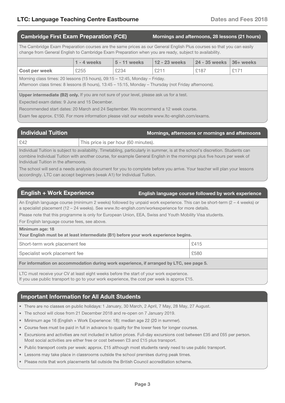| <b>Cambridge First Exam Preparation (FCE)</b>                                                                                                                                                                                   |  |  | Mornings and afternoons, 28 lessons (21 hours) |  |  |
|---------------------------------------------------------------------------------------------------------------------------------------------------------------------------------------------------------------------------------|--|--|------------------------------------------------|--|--|
| The Cambridge Exam Preparation courses are the same prices as our General English Plus courses so that you can easily<br>change from General English to Cambridge Exam Preparation when you are ready, subject to availability. |  |  |                                                |  |  |
| 12 - 23 weeks<br>5 - 11 weeks<br>24 - 35 weeks<br>$1 - 4$ weeks<br>36+ weeks                                                                                                                                                    |  |  |                                                |  |  |
| <b>£211</b><br>£171<br>£255<br>£234<br>£187<br>Cost per week                                                                                                                                                                    |  |  |                                                |  |  |
| Morning class times: 20 lessons (15 hours), 09:15 - 12:45, Monday - Friday.                                                                                                                                                     |  |  |                                                |  |  |

Afternoon class times: 8 lessons (6 hours), 13:45 – 15:15, Monday – Thursday (not Friday afternoons).

Upper intermediate (B2) only. If you are not sure of your level, please ask us for a test.

Expected exam dates: 9 June and 15 December.

Recommended start dates: 20 March and 24 September. We recommend a 12 week course.

Exam fee approx. £150. For more information please visit our website www.ltc-english.com/exams.

| <b>Individual Tuition</b> | Mornings, afternoons or mornings and afternoons |
|---------------------------|-------------------------------------------------|
| £42                       | This price is per hour (60 minutes).            |

Individual Tuition is subject to availability. Timetabling, particularly in summer, is at the school's discretion. Students can combine Individual Tuition with another course, for example General English in the mornings plus five hours per week of Individual Tuition in the afternoons.

The school will send a needs analysis document for you to complete before you arrive. Your teacher will plan your lessons accordingly. LTC can accept beginners (weak A1) for Individual Tuition.

### **English + Work Experience**

#### **English language course followed by work experience**

An English language course (minimum 2 weeks) followed by unpaid work experience. This can be short-term (2 – 4 weeks) or a specialist placement (12 – 24 weeks). See www.ltc-english.com/workexperience for more details.

Please note that this programme is only for European Union, EEA, Swiss and Youth Mobility Visa students.

For English language course fees, see above.

#### **Minimum age: 18**

| Your English must be at least intermediate (B1) before your work experience begins. |      |  |  |
|-------------------------------------------------------------------------------------|------|--|--|
| Short-term work placement fee                                                       | £415 |  |  |
| Specialist work placement fee                                                       | £580 |  |  |

**For information on accommodation during work experience, if arranged by LTC, see page 5.**

LTC must receive your CV at least eight weeks before the start of your work experience. If you use public transport to go to your work experience, the cost per week is approx £15.

### **Important Information for All Adult Students**

• There are no classes on public holidays: 1 January, 30 March, 2 April, 7 May, 28 May, 27 August.

The school will close from 21 December 2018 and re-open on 7 January 2019.

- Minimum age 16 (English + Work Experience: 18); median age 22 (20 in summer).
- Course fees must be paid in full in advance to quality for the lower fees for longer courses.
- Most social activities are either free or cost between £3 and £15 plus transport. Excursions and activities are not included in tuition prices. Full-day excursions cost between £35 and £65 per person.
- Public transport costs per week: approx. £15 although most students rarely need to use public transport.
- Lessons may take place in classrooms outside the school premises during peak times.
- Please note that work placements fall outside the British Council accreditation scheme.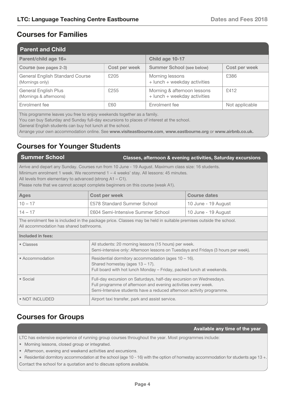### **Courses for Families**

| <b>Parent and Child</b>                                   |               |                                                             |                |  |  |
|-----------------------------------------------------------|---------------|-------------------------------------------------------------|----------------|--|--|
| Parent/child age 16+                                      |               | Child age 10-17                                             |                |  |  |
| Course (see pages 2-3)                                    | Cost per week | Summer School (see below)                                   | Cost per week  |  |  |
| <b>General English Standard Course</b><br>(Mornings only) | £205          | Morning lessons<br>+ lunch + weekday activities             | £386           |  |  |
| General English Plus<br>(Mornings & afternoons)           | £255          | Morning & afternoon lessons<br>+ lunch + weekday activities | £412           |  |  |
| Enrolment fee                                             | £60           | Enrolment fee                                               | Not applicable |  |  |

This programme leaves you free to enjoy weekends together as a family.

You can buy Saturday and Sunday full-day excursions to places of interest at the school.

General English students can buy hot lunch at the school.

Arrange your own accommodation online. See **www.visiteastbourne.com**, **www.eastbourne.org** or **www.airbnb.co.uk.**

### **Courses for Younger Students**

| <b>Summer School</b>                                                                 | Classes, afternoon & evening activities, Saturday excursions                                         |
|--------------------------------------------------------------------------------------|------------------------------------------------------------------------------------------------------|
|                                                                                      | Arrive and depart any Sunday. Courses run from 10 June - 19 August. Maximum class size: 16 students. |
| Minimum enrolment 1 week. We recommend $1 - 4$ weeks' stay. All lessons: 45 minutes. |                                                                                                      |
| All levels from elementary to advanced (strong $A1 - C1$ ).                          |                                                                                                      |

Please note that we cannot accept complete beginners on this course (weak A1).

| Ages      | Cost per week                     | Course dates        |
|-----------|-----------------------------------|---------------------|
| $10 - 17$ | £578 Standard Summer School       | 10 June - 19 August |
| $14 - 17$ | £604 Semi-Intensive Summer School | 10 June - 19 August |

The enrolment fee is included in the package price. Classes may be held in suitable premises outside the school. All accommodation has shared bathrooms.

| Included in fees |  |  |
|------------------|--|--|
|                  |  |  |

| .               |                                                                                                                                                                                                              |
|-----------------|--------------------------------------------------------------------------------------------------------------------------------------------------------------------------------------------------------------|
| • Classes       | All students: 20 morning lessons (15 hours) per week.<br>Semi-intensive only: Afternoon lessons on Tuesdays and Fridays (3 hours per week).                                                                  |
| • Accommodation | Residential dormitory accommodation (ages $10 - 16$ ).<br>Shared homestay (ages $13 - 17$ ).<br>Full board with hot lunch Monday – Friday, packed lunch at weekends.                                         |
| • Social        | Full-day excursion on Saturdays, half-day excursion on Wednesdays.<br>Full programme of afternoon and evening activities every week.<br>Semi-Intensive students have a reduced afternoon activity programme. |
| • NOT INCLUDED  | Airport taxi transfer, park and assist service.                                                                                                                                                              |

### **Courses for Groups**

#### Available any time of the year

LTC has extensive experience of running group courses throughout the year. Most programmes include:

- Morning lessons, closed group or integrated.
- Afternoon, evening and weekend activities and excursions.

Residential dormitory accommodation at the school (age 10 - 16) with the option of homestay accommodation for students age 13 +. Contact the school for a quotation and to discuss options available.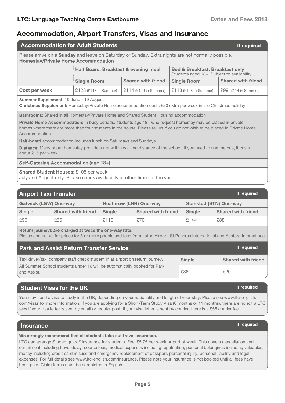### **Accommodation, Airport Transfers, Visas and Insurance**

| <b>Accommodation for Adult Students</b><br>If required                                                                                                                                                                                                      |                                                                                                                                   |                           |                         |                           |  |  |
|-------------------------------------------------------------------------------------------------------------------------------------------------------------------------------------------------------------------------------------------------------------|-----------------------------------------------------------------------------------------------------------------------------------|---------------------------|-------------------------|---------------------------|--|--|
| Please arrive on a <b>Sunday</b> and leave on Saturday or Sunday. Extra nights are not normally possible.<br><b>Homestay/Private Home Accommodation</b>                                                                                                     |                                                                                                                                   |                           |                         |                           |  |  |
|                                                                                                                                                                                                                                                             | Half Board: Breakfast & evening meal<br><b>Bed &amp; Breakfast: Breakfast only</b><br>Students aged 18+. Subject to availability. |                           |                         |                           |  |  |
|                                                                                                                                                                                                                                                             | <b>Single Room</b>                                                                                                                | <b>Shared with friend</b> | <b>Single Room</b>      | <b>Shared with friend</b> |  |  |
| Cost per week                                                                                                                                                                                                                                               | $£128$ (£143 in Summer)                                                                                                           | £114 (£129 in Summer)     | $£113$ (£128 in Summer) | £99 (£114 in Summer)      |  |  |
| <b>Summer Supplement: 10 June - 19 August.</b><br>Christmas Supplement: Homestay/Private Home accommodation costs £20 extra per week in the Christmas holiday.                                                                                              |                                                                                                                                   |                           |                         |                           |  |  |
| <b>Bathrooms:</b> Shared in all Homestay/Private Home and Shared Student Housing accommodation                                                                                                                                                              |                                                                                                                                   |                           |                         |                           |  |  |
| Private Home Accommodation: In busy periods, students age 18+ who request homestay may be placed in private<br>homes where there are more than four students in the house. Please tell us if you do not wish to be placed in Private Home<br>Accommodation. |                                                                                                                                   |                           |                         |                           |  |  |
| Half-board accommodation includes lunch on Saturdays and Sundays.                                                                                                                                                                                           |                                                                                                                                   |                           |                         |                           |  |  |
| Distance: Many of our homestay providers are within walking distance of the school. If you need to use the bus, it costs<br>about £15 per week.                                                                                                             |                                                                                                                                   |                           |                         |                           |  |  |
| Self-Catering Accommodation (age 18+)                                                                                                                                                                                                                       |                                                                                                                                   |                           |                         |                           |  |  |
| <b>Shared Student Houses: £105 per week.</b>                                                                                                                                                                                                                |                                                                                                                                   |                           |                         |                           |  |  |

July and August only. Please check availability at other times of the year.

| <b>Airport Taxi Transfer</b><br>If required |                           |                               |                           |                               |                           |
|---------------------------------------------|---------------------------|-------------------------------|---------------------------|-------------------------------|---------------------------|
| <b>Gatwick (LGW) One-way</b>                |                           | <b>Heathrow (LHR) One-way</b> |                           | <b>Stansted (STN) One-way</b> |                           |
| <b>Single</b>                               | <b>Shared with friend</b> | <b>Single</b>                 | <b>Shared with friend</b> | <b>Single</b>                 | <b>Shared with friend</b> |
| £90                                         | £55                       | £116                          | £70                       | £144                          | £88                       |

Return journeys are charged at twice the one-way rate.

Please contact us for prices for 3 or more people and fees from Luton Airport, St Pancras International and Ashford International.

| <b>Park and Assist Return Transfer Service</b>                                           |               | If required               |
|------------------------------------------------------------------------------------------|---------------|---------------------------|
| Taxi driver/taxi company staff check student in at airport on return journey.            | <b>Single</b> | <b>Shared with friend</b> |
| All Summer School students under 16 will be automatically booked for Park<br>and Assist. | £38           | £20                       |

### **Student Visas for the UK**

You may need a visa to study in the UK, depending on your nationality and length of your stay. Please see www.ltc-english. com/visas for more information. If you are applying for a Short-Term Study Visa (6 months or 11 months), there are no extra LTC fees if your visa letter is sent by email or regular post. If your visa letter is sent by courier, there is a £55 courier fee.

### **Insurance**

We strongly recommend that all students take out travel insurance.

LTC can arrange Studentguard® insurance for students. Fee: £5.75 per week or part of week. This covers cancellation and curtailment including travel delay, course fees, medical expenses including repatriation, personal belongings including valuables, money including credit card misuse and emergency replacement of passport, personal injury, personal liability and legal expenses. For full details see www.ltc-english.com/insurance. Please note your insurance is not booked until all fees have been paid. Claim forms must be completed in English. ..

#### **If required**

#### **If required**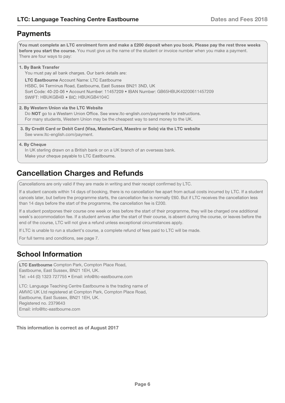### **Payments**

You must complete an LTC enrolment form and make a £200 deposit when you book. Please pay the rest three weeks before you start the course. You must give us the name of the student or invoice number when you make a payment. There are four ways to pay:

1. By Bank Transfer

You must pay all bank charges. Our bank details are:

LTC Eastbourne Account Name: LTC Eastbourne HSBC, 94 Terminus Road, Eastbourne, East Sussex BN21 3ND, UK Sort Code: 40-20-06 · Account Number: 11457209 · IBAN Number: GB65HBUK40200611457209 SWIFT: HBUKGB4B · BIC: HBUKGB4104C

#### 2. By Western Union via the LTC Website

Do NOT go to a Western Union Office. See www.ltc-english.com/payments for instructions. For many students, Western Union may be the cheapest way to send money to the UK.

3. By Credit Card or Debit Card (Visa, MasterCard, Maestro or Solo) via the LTC website See www.ltc-english.com/payment.

4. By Cheque

In UK sterling drawn on a British bank or on a UK branch of an overseas bank. Make your cheque payable to LTC Eastbourne.

## **Cancellation Charges and Refunds**

Cancellations are only valid if they are made in writing and their receipt confirmed by LTC.

If a student cancels within 14 days of booking, there is no cancellation fee apart from actual costs incurred by LTC. If a student cancels later, but before the programme starts, the cancellation fee is normally £60. But if LTC receives the cancellation less than 14 days before the start of the programme, the cancellation fee is £200.

If a student postpones their course one week or less before the start of their programme, they will be charged one additional week's accommodation fee. If a student arrives after the start of their course, is absent during the course, or leaves before the end of the course, LTC will not give a refund unless exceptional circumstances apply.

If LTC is unable to run a student's course, a complete refund of fees paid to LTC will be made.

For full terms and conditions, see page 7.

### **School Information**

LTC Eastbourne Compton Park, Compton Place Road, Tel: +44 (0) 1323 727755 • Email: info@ltc-eastbourne.com Eastbourne, East Sussex, BN21 1EH, UK.

LTC: Language Teaching Centre Eastbourne is the trading name of AMVIC UK Ltd registered at Compton Park, Compton Place Road, Registered no. 2379643 Email: info@ltc-eastbourne.com Eastbourne, East Sussex, BN21 1EH, UK.

**This information is correct as of August 2017**